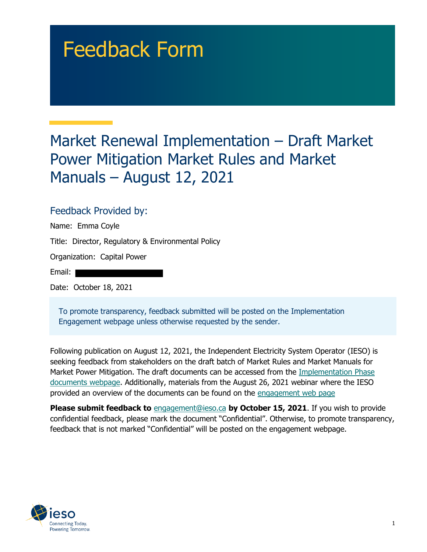# Feedback Form

## Market Renewal Implementation – Draft Market Power Mitigation Market Rules and Market Manuals – August 12, 2021

#### Feedback Provided by:

| Name: Emma Coyle                                   |
|----------------------------------------------------|
| Title: Director, Regulatory & Environmental Policy |
| Organization: Capital Power                        |
| Email:                                             |
| Date: October 18, 2021                             |
|                                                    |

To promote transparency, feedback submitted will be posted on the Implementation Engagement webpage unless otherwise requested by the sender.

Following publication on August 12, 2021, the Independent Electricity System Operator (IESO) is seeking feedback from stakeholders on the draft batch of Market Rules and Market Manuals for Market Power Mitigation. The draft documents can be accessed from the [Implementation Phase](https://www.ieso.ca/en/Market-Renewal/Energy-Stream-Designs/Implementation-phase-documents)  [documents webpage](https://www.ieso.ca/en/Market-Renewal/Energy-Stream-Designs/Implementation-phase-documents). Additionally, materials from the August 26, 2021 webinar where the IESO provided an overview of the documents can be found on the [engagement web page](https://www.ieso.ca/en/Market-Renewal/Stakeholder-Engagements/Implementation-Engagement-Market-Rules-and-Market-Manuals)

**Please submit feedback to** [engagement@ieso.ca](mailto:engagement@ieso.ca) **by October 15, 2021**. If you wish to provide confidential feedback, please mark the document "Confidential". Otherwise, to promote transparency, feedback that is not marked "Confidential" will be posted on the engagement webpage.

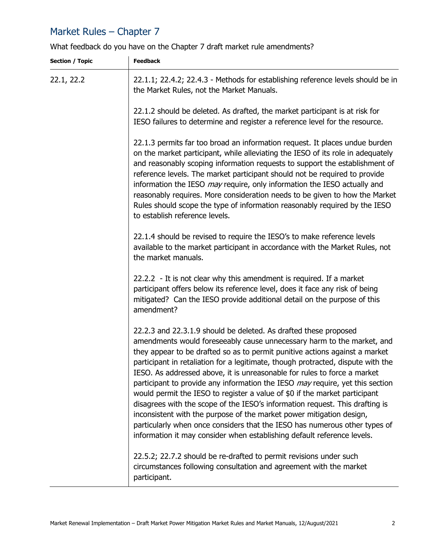### Market Rules – Chapter 7

What feedback do you have on the Chapter 7 draft market rule amendments?

| <b>Section / Topic</b> | <b>Feedback</b>                                                                                                                                                                                                                                                                                                                                                                                                                                                                                                                                                                                                                                                                                                                                                                                                                                                                  |
|------------------------|----------------------------------------------------------------------------------------------------------------------------------------------------------------------------------------------------------------------------------------------------------------------------------------------------------------------------------------------------------------------------------------------------------------------------------------------------------------------------------------------------------------------------------------------------------------------------------------------------------------------------------------------------------------------------------------------------------------------------------------------------------------------------------------------------------------------------------------------------------------------------------|
| 22.1, 22.2             | 22.1.1; 22.4.2; 22.4.3 - Methods for establishing reference levels should be in<br>the Market Rules, not the Market Manuals.                                                                                                                                                                                                                                                                                                                                                                                                                                                                                                                                                                                                                                                                                                                                                     |
|                        | 22.1.2 should be deleted. As drafted, the market participant is at risk for<br>IESO failures to determine and register a reference level for the resource.                                                                                                                                                                                                                                                                                                                                                                                                                                                                                                                                                                                                                                                                                                                       |
|                        | 22.1.3 permits far too broad an information request. It places undue burden<br>on the market participant, while alleviating the IESO of its role in adequately<br>and reasonably scoping information requests to support the establishment of<br>reference levels. The market participant should not be required to provide<br>information the IESO <i>may</i> require, only information the IESO actually and<br>reasonably requires. More consideration needs to be given to how the Market<br>Rules should scope the type of information reasonably required by the IESO<br>to establish reference levels.                                                                                                                                                                                                                                                                    |
|                        | 22.1.4 should be revised to require the IESO's to make reference levels<br>available to the market participant in accordance with the Market Rules, not<br>the market manuals.                                                                                                                                                                                                                                                                                                                                                                                                                                                                                                                                                                                                                                                                                                   |
|                        | 22.2.2 - It is not clear why this amendment is required. If a market<br>participant offers below its reference level, does it face any risk of being<br>mitigated? Can the IESO provide additional detail on the purpose of this<br>amendment?                                                                                                                                                                                                                                                                                                                                                                                                                                                                                                                                                                                                                                   |
|                        | 22.2.3 and 22.3.1.9 should be deleted. As drafted these proposed<br>amendments would foreseeably cause unnecessary harm to the market, and<br>they appear to be drafted so as to permit punitive actions against a market<br>participant in retaliation for a legitimate, though protracted, dispute with the<br>IESO. As addressed above, it is unreasonable for rules to force a market<br>participant to provide any information the IESO <i>may</i> require, yet this section<br>would permit the IESO to register a value of \$0 if the market participant<br>disagrees with the scope of the IESO's information request. This drafting is<br>inconsistent with the purpose of the market power mitigation design,<br>particularly when once considers that the IESO has numerous other types of<br>information it may consider when establishing default reference levels. |
|                        | 22.5.2; 22.7.2 should be re-drafted to permit revisions under such<br>circumstances following consultation and agreement with the market<br>participant.                                                                                                                                                                                                                                                                                                                                                                                                                                                                                                                                                                                                                                                                                                                         |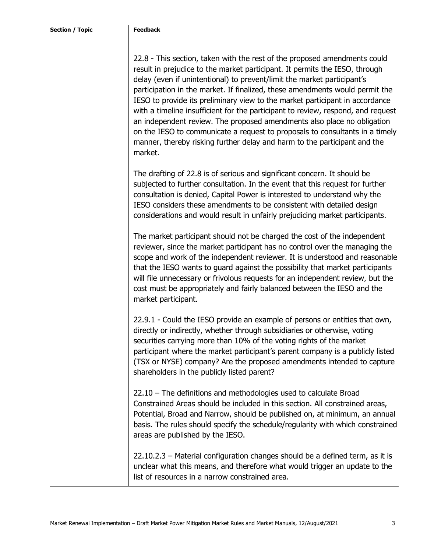22.8 - This section, taken with the rest of the proposed amendments could result in prejudice to the market participant. It permits the IESO, through delay (even if unintentional) to prevent/limit the market participant's participation in the market. If finalized, these amendments would permit the IESO to provide its preliminary view to the market participant in accordance with a timeline insufficient for the participant to review, respond, and request an independent review. The proposed amendments also place no obligation on the IESO to communicate a request to proposals to consultants in a timely manner, thereby risking further delay and harm to the participant and the market.

The drafting of 22.8 is of serious and significant concern. It should be subjected to further consultation. In the event that this request for further consultation is denied, Capital Power is interested to understand why the IESO considers these amendments to be consistent with detailed design considerations and would result in unfairly prejudicing market participants.

The market participant should not be charged the cost of the independent reviewer, since the market participant has no control over the managing the scope and work of the independent reviewer. It is understood and reasonable that the IESO wants to guard against the possibility that market participants will file unnecessary or frivolous requests for an independent review, but the cost must be appropriately and fairly balanced between the IESO and the market participant.

22.9.1 - Could the IESO provide an example of persons or entities that own, directly or indirectly, whether through subsidiaries or otherwise, voting securities carrying more than 10% of the voting rights of the market participant where the market participant's parent company is a publicly listed (TSX or NYSE) company? Are the proposed amendments intended to capture shareholders in the publicly listed parent?

22.10 – The definitions and methodologies used to calculate Broad Constrained Areas should be included in this section. All constrained areas, Potential, Broad and Narrow, should be published on, at minimum, an annual basis. The rules should specify the schedule/regularity with which constrained areas are published by the IESO.

22.10.2.3 – Material configuration changes should be a defined term, as it is unclear what this means, and therefore what would trigger an update to the list of resources in a narrow constrained area.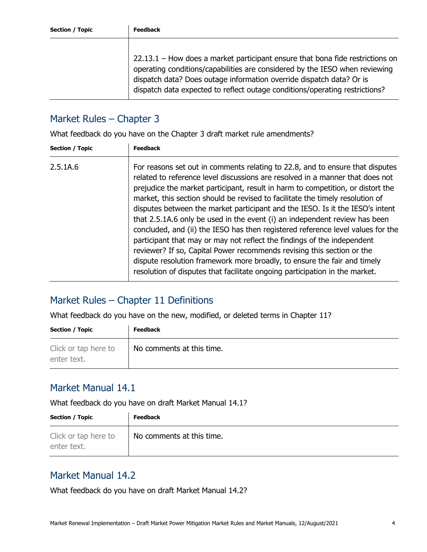22.13.1 – How does a market participant ensure that bona fide restrictions on operating conditions/capabilities are considered by the IESO when reviewing dispatch data? Does outage information override dispatch data? Or is dispatch data expected to reflect outage conditions/operating restrictions?

#### Market Rules – Chapter 3

What feedback do you have on the Chapter 3 draft market rule amendments?

| Section / Topic | <b>Feedback</b>                                                                                                                                                                                                                                                                                                                                                                                                                                                                                                                                                                                                                                                                                                                                                                                                                                                                                      |
|-----------------|------------------------------------------------------------------------------------------------------------------------------------------------------------------------------------------------------------------------------------------------------------------------------------------------------------------------------------------------------------------------------------------------------------------------------------------------------------------------------------------------------------------------------------------------------------------------------------------------------------------------------------------------------------------------------------------------------------------------------------------------------------------------------------------------------------------------------------------------------------------------------------------------------|
| 2.5.1A.6        | For reasons set out in comments relating to 22.8, and to ensure that disputes<br>related to reference level discussions are resolved in a manner that does not<br>prejudice the market participant, result in harm to competition, or distort the<br>market, this section should be revised to facilitate the timely resolution of<br>disputes between the market participant and the IESO. Is it the IESO's intent<br>that 2.5.1A.6 only be used in the event (i) an independent review has been<br>concluded, and (ii) the IESO has then registered reference level values for the<br>participant that may or may not reflect the findings of the independent<br>reviewer? If so, Capital Power recommends revising this section or the<br>dispute resolution framework more broadly, to ensure the fair and timely<br>resolution of disputes that facilitate ongoing participation in the market. |
|                 |                                                                                                                                                                                                                                                                                                                                                                                                                                                                                                                                                                                                                                                                                                                                                                                                                                                                                                      |

#### Market Rules – Chapter 11 Definitions

What feedback do you have on the new, modified, or deleted terms in Chapter 11?

| <b>Section / Topic</b>              | <b>Feedback</b>           |
|-------------------------------------|---------------------------|
| Click or tap here to<br>enter text. | No comments at this time. |

#### Market Manual 14.1

What feedback do you have on draft Market Manual 14.1?

| <b>Section / Topic</b>              | <b>Feedback</b>           |
|-------------------------------------|---------------------------|
| Click or tap here to<br>enter text. | No comments at this time. |

#### Market Manual 14.2

What feedback do you have on draft Market Manual 14.2?